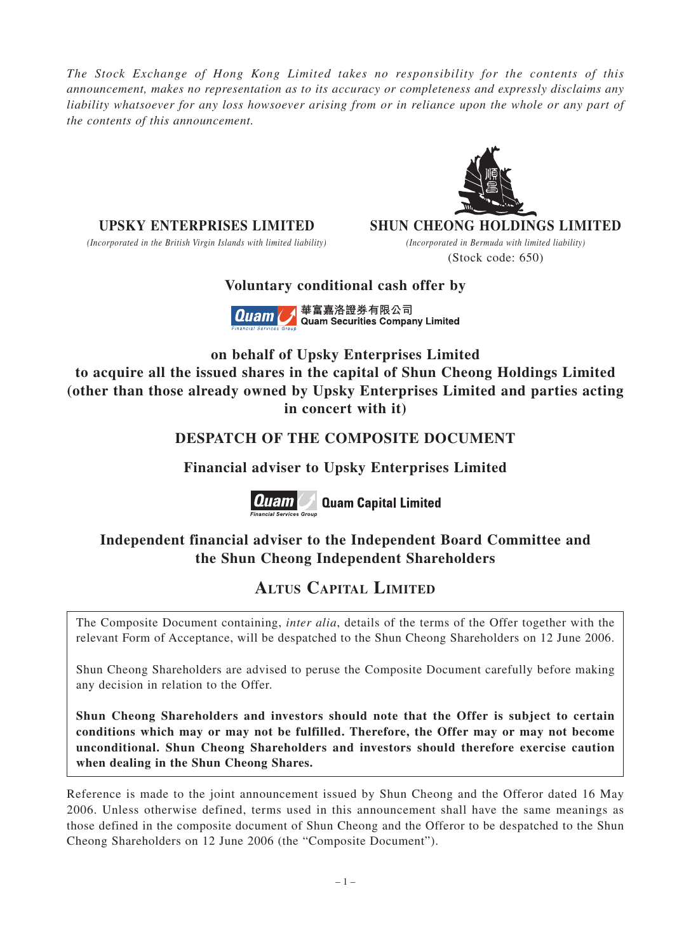*The Stock Exchange of Hong Kong Limited takes no responsibility for the contents of this announcement, makes no representation as to its accuracy or completeness and expressly disclaims any liability whatsoever for any loss howsoever arising from or in reliance upon the whole or any part of the contents of this announcement.*

*(Incorporated in the British Virgin Islands with limited liability) (Incorporated in Bermuda with limited liability)*

**UPSKY ENTERPRISES LIMITED SHUN CHEONG HOLDINGS LIMITED**

(Stock code: 650)

## **Voluntary conditional cash offer by**



**on behalf of Upsky Enterprises Limited to acquire all the issued shares in the capital of Shun Cheong Holdings Limited (other than those already owned by Upsky Enterprises Limited and parties acting in concert with it)**

## **DESPATCH OF THE COMPOSITE DOCUMENT**

## **Financial adviser to Upsky Enterprises Limited**



**Quam** auam Capital Limited

## **Independent financial adviser to the Independent Board Committee and the Shun Cheong Independent Shareholders**

# **ALTUS CAPITAL LIMITED**

The Composite Document containing, *inter alia*, details of the terms of the Offer together with the relevant Form of Acceptance, will be despatched to the Shun Cheong Shareholders on 12 June 2006.

Shun Cheong Shareholders are advised to peruse the Composite Document carefully before making any decision in relation to the Offer.

**Shun Cheong Shareholders and investors should note that the Offer is subject to certain conditions which may or may not be fulfilled. Therefore, the Offer may or may not become unconditional. Shun Cheong Shareholders and investors should therefore exercise caution when dealing in the Shun Cheong Shares.**

Reference is made to the joint announcement issued by Shun Cheong and the Offeror dated 16 May 2006. Unless otherwise defined, terms used in this announcement shall have the same meanings as those defined in the composite document of Shun Cheong and the Offeror to be despatched to the Shun Cheong Shareholders on 12 June 2006 (the "Composite Document").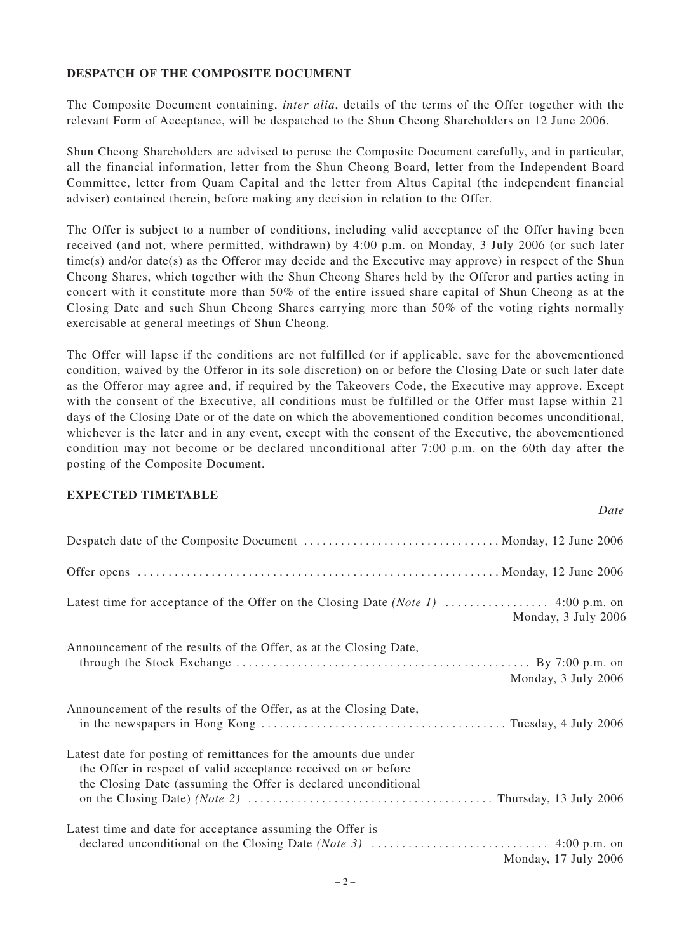### **DESPATCH OF THE COMPOSITE DOCUMENT**

The Composite Document containing, *inter alia*, details of the terms of the Offer together with the relevant Form of Acceptance, will be despatched to the Shun Cheong Shareholders on 12 June 2006.

Shun Cheong Shareholders are advised to peruse the Composite Document carefully, and in particular, all the financial information, letter from the Shun Cheong Board, letter from the Independent Board Committee, letter from Quam Capital and the letter from Altus Capital (the independent financial adviser) contained therein, before making any decision in relation to the Offer.

The Offer is subject to a number of conditions, including valid acceptance of the Offer having been received (and not, where permitted, withdrawn) by 4:00 p.m. on Monday, 3 July 2006 (or such later time(s) and/or date(s) as the Offeror may decide and the Executive may approve) in respect of the Shun Cheong Shares, which together with the Shun Cheong Shares held by the Offeror and parties acting in concert with it constitute more than 50% of the entire issued share capital of Shun Cheong as at the Closing Date and such Shun Cheong Shares carrying more than 50% of the voting rights normally exercisable at general meetings of Shun Cheong.

The Offer will lapse if the conditions are not fulfilled (or if applicable, save for the abovementioned condition, waived by the Offeror in its sole discretion) on or before the Closing Date or such later date as the Offeror may agree and, if required by the Takeovers Code, the Executive may approve. Except with the consent of the Executive, all conditions must be fulfilled or the Offer must lapse within 21 days of the Closing Date or of the date on which the abovementioned condition becomes unconditional, whichever is the later and in any event, except with the consent of the Executive, the abovementioned condition may not become or be declared unconditional after 7:00 p.m. on the 60th day after the posting of the Composite Document.

*Date*

#### **EXPECTED TIMETABLE**

| Monday, 3 July 2006                                                                                                                                                                                                      |
|--------------------------------------------------------------------------------------------------------------------------------------------------------------------------------------------------------------------------|
| Announcement of the results of the Offer, as at the Closing Date,<br>through the Stock Exchange $\dots \dots \dots \dots \dots \dots \dots \dots \dots \dots \dots \dots \dots$ . By 7:00 p.m. on<br>Monday, 3 July 2006 |
| Announcement of the results of the Offer, as at the Closing Date,                                                                                                                                                        |
| Latest date for posting of remittances for the amounts due under<br>the Offer in respect of valid acceptance received on or before<br>the Closing Date (assuming the Offer is declared unconditional                     |
| Latest time and date for acceptance assuming the Offer is<br>Monday, 17 July 2006                                                                                                                                        |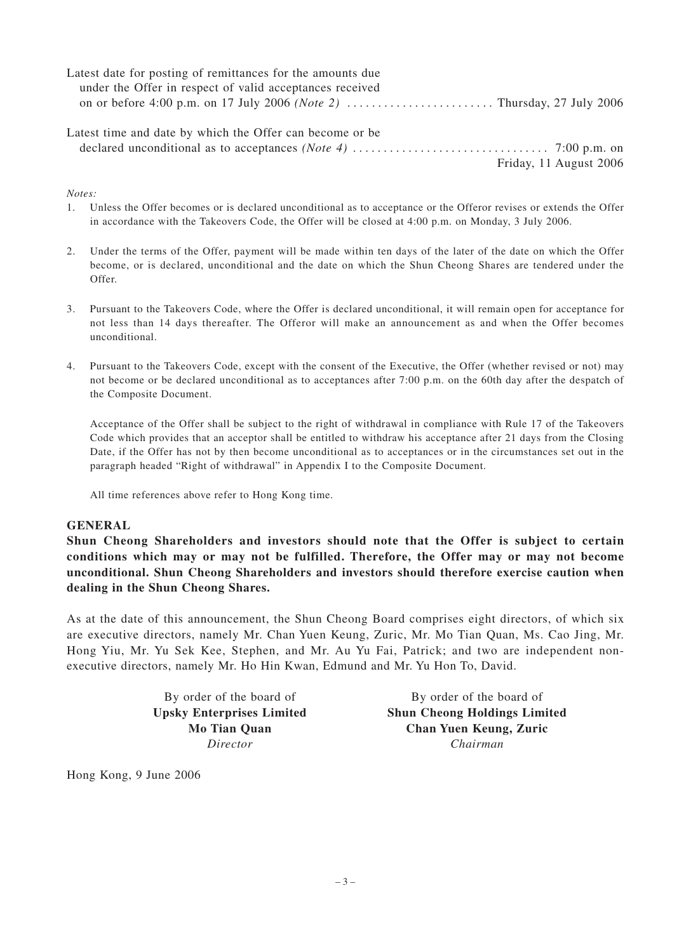| Latest date for posting of remittances for the amounts due |                        |
|------------------------------------------------------------|------------------------|
| under the Offer in respect of valid acceptances received   |                        |
|                                                            |                        |
|                                                            |                        |
| Latest time and date by which the Offer can become or be.  |                        |
|                                                            |                        |
|                                                            | Friday, 11 August 2006 |

*Notes:*

- 1. Unless the Offer becomes or is declared unconditional as to acceptance or the Offeror revises or extends the Offer in accordance with the Takeovers Code, the Offer will be closed at 4:00 p.m. on Monday, 3 July 2006.
- 2. Under the terms of the Offer, payment will be made within ten days of the later of the date on which the Offer become, or is declared, unconditional and the date on which the Shun Cheong Shares are tendered under the  $Offer$
- 3. Pursuant to the Takeovers Code, where the Offer is declared unconditional, it will remain open for acceptance for not less than 14 days thereafter. The Offeror will make an announcement as and when the Offer becomes unconditional.
- 4. Pursuant to the Takeovers Code, except with the consent of the Executive, the Offer (whether revised or not) may not become or be declared unconditional as to acceptances after 7:00 p.m. on the 60th day after the despatch of the Composite Document.

Acceptance of the Offer shall be subject to the right of withdrawal in compliance with Rule 17 of the Takeovers Code which provides that an acceptor shall be entitled to withdraw his acceptance after 21 days from the Closing Date, if the Offer has not by then become unconditional as to acceptances or in the circumstances set out in the paragraph headed "Right of withdrawal" in Appendix I to the Composite Document.

All time references above refer to Hong Kong time.

#### **GENERAL**

**Shun Cheong Shareholders and investors should note that the Offer is subject to certain conditions which may or may not be fulfilled. Therefore, the Offer may or may not become unconditional. Shun Cheong Shareholders and investors should therefore exercise caution when dealing in the Shun Cheong Shares.**

As at the date of this announcement, the Shun Cheong Board comprises eight directors, of which six are executive directors, namely Mr. Chan Yuen Keung, Zuric, Mr. Mo Tian Quan, Ms. Cao Jing, Mr. Hong Yiu, Mr. Yu Sek Kee, Stephen, and Mr. Au Yu Fai, Patrick; and two are independent nonexecutive directors, namely Mr. Ho Hin Kwan, Edmund and Mr. Yu Hon To, David.

By order of the board of By order of the board of **Upsky Enterprises Limited Shun Cheong Holdings Limited Mo Tian Quan Chan Yuen Keung, Zuric** *Director Chairman*

Hong Kong, 9 June 2006